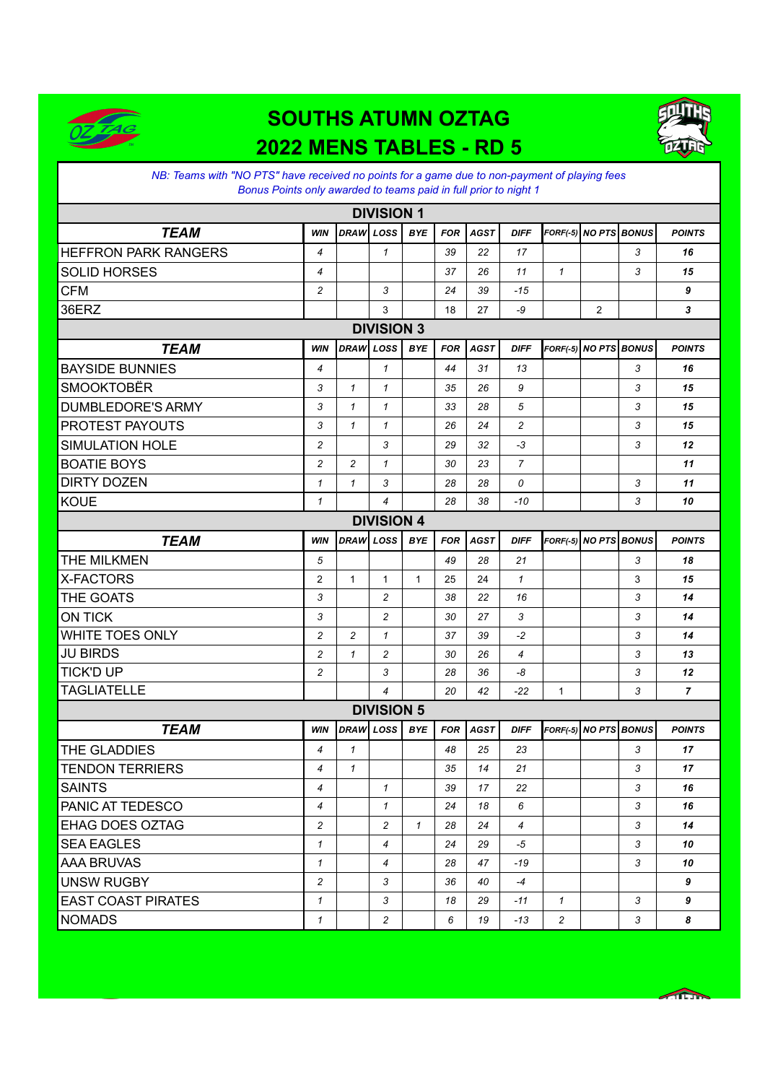

## **SOUTHS ATUMN OZTAG 2022 MENS TABLES - RD 5**



*NB: Teams with "NO PTS" have received no points for a game due to non-payment of playing fees Bonus Points only awarded to teams paid in full prior to night 1*

| <b>DIVISION 1</b>           |                |                |                   |              |            |             |                |                       |                       |   |                |
|-----------------------------|----------------|----------------|-------------------|--------------|------------|-------------|----------------|-----------------------|-----------------------|---|----------------|
| <b>TEAM</b>                 | <b>WIN</b>     | DRAW LOSS      |                   | <b>BYE</b>   | <b>FOR</b> | <b>AGST</b> | <b>DIFF</b>    | FORF(-5) NO PTS BONUS |                       |   | <b>POINTS</b>  |
| <b>HEFFRON PARK RANGERS</b> | $\overline{4}$ |                | 1                 |              | 39         | 22          | 17             |                       |                       | 3 | 16             |
| <b>SOLID HORSES</b>         | $\overline{4}$ |                |                   |              | 37         | 26          | 11             | $\mathbf{1}$          |                       | 3 | 15             |
| <b>CFM</b>                  | $\overline{c}$ |                | 3                 |              | 24         | 39          | $-15$          |                       |                       |   | 9              |
| 36ERZ                       |                |                | 3                 |              | 18         | 27          | -9             |                       | $\overline{2}$        |   | 3              |
| <b>DIVISION 3</b>           |                |                |                   |              |            |             |                |                       |                       |   |                |
| <b>TEAM</b>                 | <b>WIN</b>     | <b>DRAW</b>    | LOSS              | <b>BYE</b>   | <b>FOR</b> | <b>AGST</b> | <b>DIFF</b>    |                       | FORF(-5) NO PTS BONUS |   | <b>POINTS</b>  |
| <b>BAYSIDE BUNNIES</b>      | $\overline{4}$ |                | $\mathbf{1}$      |              | 44         | 31          | 13             |                       |                       | 3 | 16             |
| <b>SMOOKTOBËR</b>           | 3              | $\mathcal I$   | $\mathcal I$      |              | 35         | 26          | 9              |                       |                       | 3 | 15             |
| <b>DUMBLEDORE'S ARMY</b>    | 3              | $\mathbf{1}$   | 1                 |              | 33         | 28          | 5              |                       |                       | 3 | 15             |
| <b>PROTEST PAYOUTS</b>      | 3              | $\mathcal I$   | $\mathbf{1}$      |              | 26         | 24          | $\overline{c}$ |                       |                       | 3 | 15             |
| <b>SIMULATION HOLE</b>      | $\overline{c}$ |                | 3                 |              | 29         | 32          | -3             |                       |                       | 3 | 12             |
| <b>BOATIE BOYS</b>          | $\overline{c}$ | $\overline{c}$ | $\mathbf{1}$      |              | 30         | 23          | $\overline{7}$ |                       |                       |   | 11             |
| <b>DIRTY DOZEN</b>          | $\mathbf{1}$   | $\mathbf{1}$   | 3                 |              | 28         | 28          | 0              |                       |                       | 3 | 11             |
| <b>KOUE</b>                 | $\mathbf{1}$   |                | $\overline{4}$    |              | 28         | 38          | $-10$          |                       |                       | 3 | 10             |
| <b>DIVISION 4</b>           |                |                |                   |              |            |             |                |                       |                       |   |                |
| <b>TEAM</b>                 | <b>WIN</b>     | <b>DRAW</b>    | LOSS              | <b>BYE</b>   | <b>FOR</b> | <b>AGST</b> | <b>DIFF</b>    |                       | FORF(-5) NO PTS BONUS |   | <b>POINTS</b>  |
| THE MILKMEN                 | 5              |                |                   |              | 49         | 28          | 21             |                       |                       | 3 | 18             |
| X-FACTORS                   | $\overline{2}$ | $\mathbf{1}$   | $\mathbf{1}$      | $\mathbf{1}$ | 25         | 24          | $\mathcal I$   |                       |                       | 3 | 15             |
| THE GOATS                   | 3              |                | $\overline{c}$    |              | 38         | 22          | 16             |                       |                       | 3 | 14             |
| <b>ON TICK</b>              | 3              |                | 2                 |              | 30         | 27          | 3              |                       |                       | 3 | 14             |
| <b>WHITE TOES ONLY</b>      | $\overline{c}$ | $\overline{c}$ | $\mathbf{1}$      |              | 37         | 39          | $-2$           |                       |                       | 3 | 14             |
| <b>JU BIRDS</b>             | 2              | $\mathbf{1}$   | 2                 |              | 30         | 26          | 4              |                       |                       | 3 | 13             |
| <b>TICK'D UP</b>            | $\overline{c}$ |                | 3                 |              | 28         | 36          | -8             |                       |                       | 3 | 12             |
| <b>TAGLIATELLE</b>          |                |                | 4                 |              | 20         | 42          | $-22$          | $\mathbf{1}$          |                       | 3 | $\overline{7}$ |
|                             |                |                | <b>DIVISION 5</b> |              |            |             |                |                       |                       |   |                |
| <b>TEAM</b>                 | <b>WIN</b>     | <b>DRAW</b>    | LOSS              | <b>BYE</b>   | <b>FOR</b> | <b>AGST</b> | <b>DIFF</b>    |                       | FORF(-5) NO PTS BONUS |   | <b>POINTS</b>  |
| THE GLADDIES                | $\overline{4}$ | $\mathcal I$   |                   |              | 48         | 25          | 23             |                       |                       | 3 | 17             |
| <b>TENDON TERRIERS</b>      | 4              | $\mathbf{1}$   |                   |              | 35         | 14          | 21             |                       |                       | 3 | 17             |
| <b>SAINTS</b>               | 4              |                | $\mathbf{1}$      |              | 39         | 17          | 22             |                       |                       | 3 | 16             |
| PANIC AT TEDESCO            | 4              |                | $\mathbf{1}$      |              | 24         | 18          | 6              |                       |                       | 3 | 16             |
| <b>EHAG DOES OZTAG</b>      | $\overline{c}$ |                | $\overline{c}$    | $\mathcal I$ | 28         | 24          | $\overline{4}$ |                       |                       | 3 | 14             |
| <b>SEA EAGLES</b>           | $\mathbf{1}$   |                | $\overline{4}$    |              | 24         | 29          | -5             |                       |                       | 3 | 10             |
| <b>AAA BRUVAS</b>           | $\mathbf{1}$   |                | 4                 |              | 28         | 47          | -19            |                       |                       | 3 | 10             |
| <b>UNSW RUGBY</b>           | $\overline{c}$ |                | 3                 |              | 36         | 40          | $-4$           |                       |                       |   | 9              |
| <b>EAST COAST PIRATES</b>   | $\mathbf{1}$   |                | 3                 |              | 18         | 29          | -11            | $\mathcal I$          |                       | 3 | 9              |
| <b>NOMADS</b>               | $\mathcal{I}$  |                | $\overline{c}$    |              | 6          | 19          | -13            | $\overline{c}$        |                       | 3 | 8              |